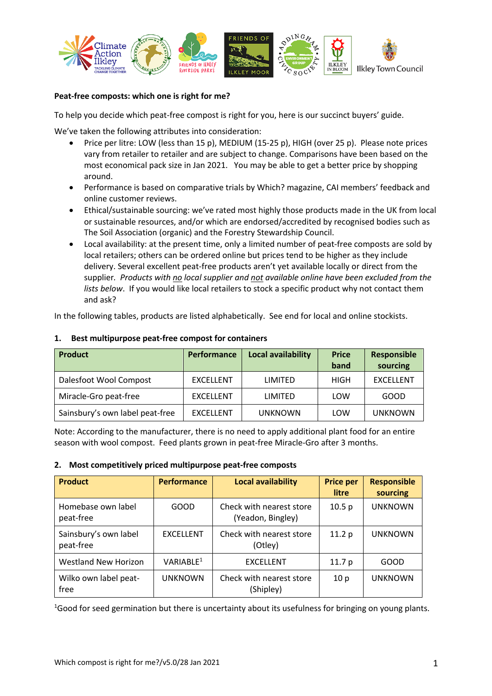

## **Peat-free composts: which one is right for me?**

To help you decide which peat-free compost is right for you, here is our succinct buyers' guide.

We've taken the following attributes into consideration:

- Price per litre: LOW (less than 15 p), MEDIUM (15-25 p), HIGH (over 25 p). Please note prices vary from retailer to retailer and are subject to change. Comparisons have been based on the most economical pack size in Jan 2021. You may be able to get a better price by shopping around.
- Performance is based on comparative trials by Which? magazine, CAI members' feedback and online customer reviews.
- Ethical/sustainable sourcing: we've rated most highly those products made in the UK from local or sustainable resources, and/or which are endorsed/accredited by recognised bodies such as The Soil Association (organic) and the Forestry Stewardship Council.
- Local availability: at the present time, only a limited number of peat-free composts are sold by local retailers; others can be ordered online but prices tend to be higher as they include delivery. Several excellent peat-free products aren't yet available locally or direct from the supplier*. Products with no local supplier and not available online have been excluded from the lists below*. If you would like local retailers to stock a specific product why not contact them and ask?

In the following tables, products are listed alphabetically. See end for local and online stockists.

| <b>Product</b>                  | <b>Performance</b> | <b>Local availability</b> | <b>Price</b><br>band | <b>Responsible</b><br>sourcing |
|---------------------------------|--------------------|---------------------------|----------------------|--------------------------------|
|                                 |                    |                           |                      |                                |
| Dalesfoot Wool Compost          | <b>EXCELLENT</b>   | LIMITED                   | <b>HIGH</b>          | <b>EXCELLENT</b>               |
| Miracle-Gro peat-free           | <b>EXCELLENT</b>   | LIMITED                   | LOW                  | GOOD                           |
| Sainsbury's own label peat-free | <b>EXCELLENT</b>   | <b>UNKNOWN</b>            | LOW                  | <b>UNKNOWN</b>                 |

## **1. Best multipurpose peat-free compost for containers**

Note: According to the manufacturer, there is no need to apply additional plant food for an entire season with wool compost. Feed plants grown in peat-free Miracle-Gro after 3 months.

## **2. Most competitively priced multipurpose peat-free composts**

| <b>Product</b>                     | <b>Performance</b>    | <b>Local availability</b>                     | <b>Price per</b><br>litre | <b>Responsible</b><br>sourcing |
|------------------------------------|-----------------------|-----------------------------------------------|---------------------------|--------------------------------|
| Homebase own label<br>peat-free    | GOOD                  | Check with nearest store<br>(Yeadon, Bingley) | 10.5 <sub>p</sub>         | <b>UNKNOWN</b>                 |
| Sainsbury's own label<br>peat-free | <b>EXCELLENT</b>      | Check with nearest store<br>(Otley)           | 11.2 p                    | <b>UNKNOWN</b>                 |
| <b>Westland New Horizon</b>        | VARIABLE <sup>1</sup> | <b>EXCELLENT</b>                              | 11.7 <sub>p</sub>         | GOOD                           |
| Wilko own label peat-<br>free      | <b>UNKNOWN</b>        | Check with nearest store<br>(Shipley)         | 10 <sub>p</sub>           | <b>UNKNOWN</b>                 |

<sup>1</sup>Good for seed germination but there is uncertainty about its usefulness for bringing on young plants.